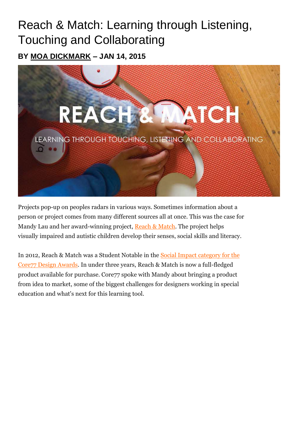# Reach & Match: Learning through Listening, Touching and Collaborating

**BY [MOA DICKMARK](http://codex.core77.com/users/Moa-Dickmark) – JAN 14, 2015**



Projects pop-up on peoples radars in various ways. Sometimes information about a person or project comes from many different sources all at once. This was the case for Mandy Lau and her award-winning project, [Reach & Match.](http://www.core77.com/posts/27965/www.reachandmatch.com) The project helps visually impaired and autistic children develop their senses, social skills and literacy.

In 2012, Reach & Match was a Student Notable in the [Social Impact category for the](http://www.core77designawards.com/2012/award_category/social-impact/)  [Core77 Design Awards.](http://www.core77designawards.com/2012/award_category/social-impact/) In under three years, Reach & Match is now a full-fledged product available for purchase. Core77 spoke with Mandy about bringing a product from idea to market, some of the biggest challenges for designers working in special education and what's next for this learning tool.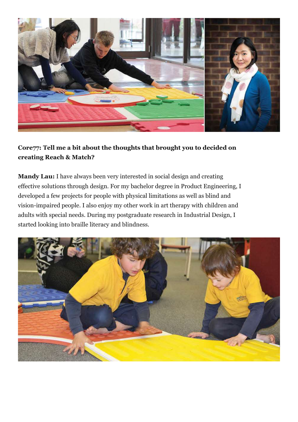

## **Core77: Tell me a bit about the thoughts that brought you to decided on creating Reach & Match?**

**Mandy Lau:** I have always been very interested in social design and creating effective solutions through design. For my bachelor degree in Product Engineering, I developed a few projects for people with physical limitations as well as blind and vision-impaired people. I also enjoy my other work in art therapy with children and adults with special needs. During my postgraduate research in Industrial Design, I started looking into braille literacy and blindness.

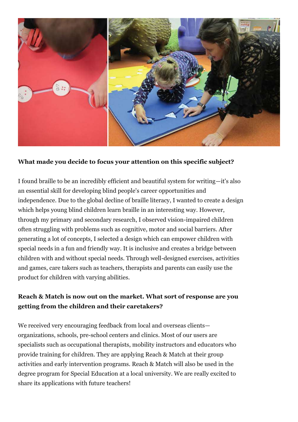

### **What made you decide to focus your attention on this specific subject?**

I found braille to be an incredibly efficient and beautiful system for writing—it's also an essential skill for developing blind people's career opportunities and independence. Due to the global decline of braille literacy, I wanted to create a design which helps young blind children learn braille in an interesting way. However, through my primary and secondary research, I observed vision-impaired children often struggling with problems such as cognitive, motor and social barriers. After generating a lot of concepts, I selected a design which can empower children with special needs in a fun and friendly way. It is inclusive and creates a bridge between children with and without special needs. Through well-designed exercises, activities and games, care takers such as teachers, therapists and parents can easily use the product for children with varying abilities.

## **Reach & Match is now out on the market. What sort of response are you getting from the children and their caretakers?**

We received very encouraging feedback from local and overseas clients organizations, schools, pre-school centers and clinics. Most of our users are specialists such as occupational therapists, mobility instructors and educators who provide training for children. They are applying Reach & Match at their group activities and early intervention programs. Reach & Match will also be used in the degree program for Special Education at a local university. We are really excited to share its applications with future teachers!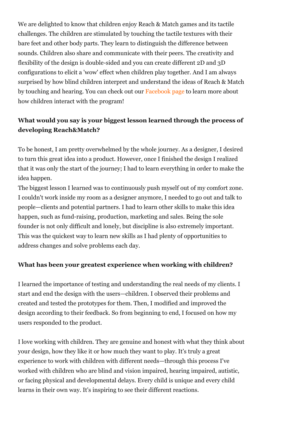We are delighted to know that children enjoy Reach & Match games and its tactile challenges. The children are stimulated by touching the tactile textures with their bare feet and other body parts. They learn to distinguish the difference between sounds. Children also share and communicate with their peers. The creativity and flexibility of the design is double-sided and you can create different 2D and 3D configurations to elicit a 'wow' effect when children play together. And I am always surprised by how blind children interpret and understand the ideas of Reach & Match by touching and hearing. You can check out our [Facebook page](http://www.core77.com/posts/27965/www.facebook.com/reachandmatch) to learn more about how children interact with the program!

## **What would you say is your biggest lesson learned through the process of developing Reach&Match?**

To be honest, I am pretty overwhelmed by the whole journey. As a designer, I desired to turn this great idea into a product. However, once I finished the design I realized that it was only the start of the journey; I had to learn everything in order to make the idea happen.

The biggest lesson I learned was to continuously push myself out of my comfort zone. I couldn't work inside my room as a designer anymore, I needed to go out and talk to people—clients and potential partners. I had to learn other skills to make this idea happen, such as fund-raising, production, marketing and sales. Being the sole founder is not only difficult and lonely, but discipline is also extremely important. This was the quickest way to learn new skills as I had plenty of opportunities to address changes and solve problems each day.

### **What has been your greatest experience when working with children?**

I learned the importance of testing and understanding the real needs of my clients. I start and end the design with the users—children. I observed their problems and created and tested the prototypes for them. Then, I modified and improved the design according to their feedback. So from beginning to end, I focused on how my users responded to the product.

I love working with children. They are genuine and honest with what they think about your design, how they like it or how much they want to play. It's truly a great experience to work with children with different needs—through this process I've worked with children who are blind and vision impaired, hearing impaired, autistic, or facing physical and developmental delays. Every child is unique and every child learns in their own way. It's inspiring to see their different reactions.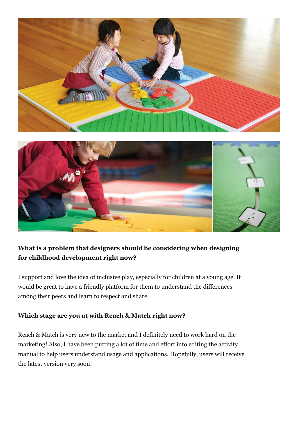

## **What is a problem that designers should be considering when designing for childhood development right now?**

I support and love the idea of inclusive play, especially for children at a young age. It would be great to have a friendly platform for them to understand the differences among their peers and learn to respect and share.

### **Which stage are you at with Reach & Match right now?**

Reach & Match is very new to the market and I definitely need to work hard on the marketing! Also, I have been putting a lot of time and effort into editing the activity manual to help users understand usage and applications. Hopefully, users will receive the latest version very soon!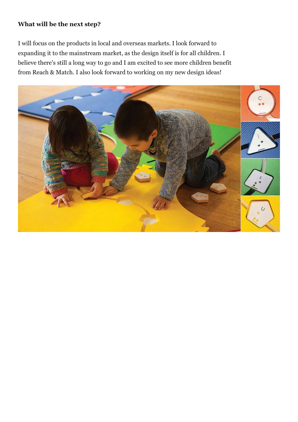#### **What will be the next step?**

I will focus on the products in local and overseas markets. I look forward to expanding it to the mainstream market, as the design itself is for all children. I believe there's still a long way to go and I am excited to see more children benefit from Reach & Match. I also look forward to working on my new design ideas!